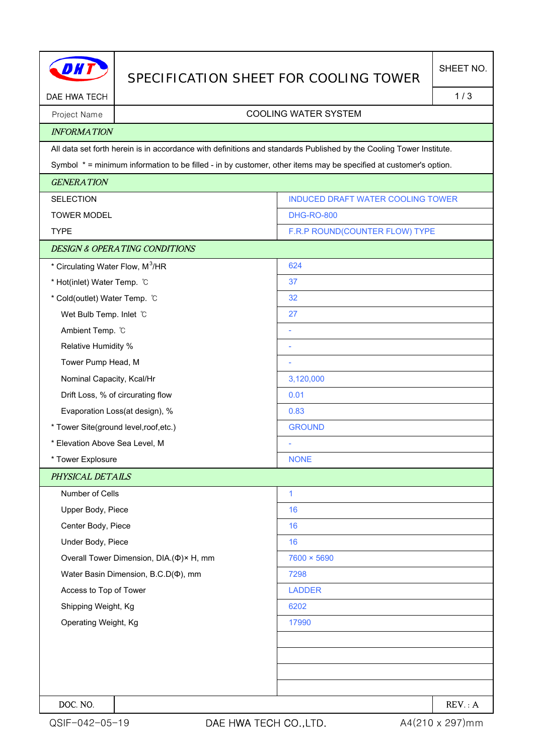|                                              | SPECIFICATION SHEET FOR COOLING TOWER    |                                                                                                                     | SHEET NO. |  |
|----------------------------------------------|------------------------------------------|---------------------------------------------------------------------------------------------------------------------|-----------|--|
| DAE HWA TECH                                 |                                          |                                                                                                                     | 1/3       |  |
| Project Name                                 | <b>COOLING WATER SYSTEM</b>              |                                                                                                                     |           |  |
| <b>INFORMATION</b>                           |                                          |                                                                                                                     |           |  |
|                                              |                                          | All data set forth herein is in accordance with definitions and standards Published by the Cooling Tower Institute. |           |  |
|                                              |                                          | Symbol * = minimum information to be filled - in by customer, other items may be specified at customer's option.    |           |  |
| <b>GENERATION</b>                            |                                          |                                                                                                                     |           |  |
| <b>SELECTION</b>                             |                                          | <b>INDUCED DRAFT WATER COOLING TOWER</b>                                                                            |           |  |
| <b>TOWER MODEL</b>                           |                                          | <b>DHG-RO-800</b>                                                                                                   |           |  |
| <b>TYPE</b>                                  |                                          | F.R.P ROUND(COUNTER FLOW) TYPE                                                                                      |           |  |
|                                              | <b>DESIGN &amp; OPERATING CONDITIONS</b> |                                                                                                                     |           |  |
| * Circulating Water Flow, M <sup>3</sup> /HR |                                          | 624                                                                                                                 |           |  |
| * Hot(inlet) Water Temp. C                   |                                          | 37                                                                                                                  |           |  |
| * Cold(outlet) Water Temp. °C                |                                          | 32                                                                                                                  |           |  |
| Wet Bulb Temp. Inlet C                       |                                          | 27                                                                                                                  |           |  |
| Ambient Temp. °C                             |                                          |                                                                                                                     |           |  |
| Relative Humidity %                          |                                          |                                                                                                                     |           |  |
| Tower Pump Head, M                           |                                          |                                                                                                                     |           |  |
| Nominal Capacity, Kcal/Hr                    |                                          | 3,120,000                                                                                                           |           |  |
| Drift Loss, % of circurating flow            |                                          | 0.01                                                                                                                |           |  |
| Evaporation Loss(at design), %               |                                          | 0.83                                                                                                                |           |  |
| * Tower Site(ground level, roof, etc.)       |                                          | <b>GROUND</b>                                                                                                       |           |  |
| * Elevation Above Sea Level, M               |                                          |                                                                                                                     |           |  |
| * Tower Explosure                            |                                          | <b>NONE</b>                                                                                                         |           |  |
| PHYSICAL DETAILS                             |                                          |                                                                                                                     |           |  |
| Number of Cells                              |                                          | 1                                                                                                                   |           |  |
| Upper Body, Piece                            |                                          | 16                                                                                                                  |           |  |
| Center Body, Piece                           |                                          | 16                                                                                                                  |           |  |
| Under Body, Piece                            |                                          | 16                                                                                                                  |           |  |
|                                              | Overall Tower Dimension, DIA.(Φ)× H, mm  | 7600 × 5690                                                                                                         |           |  |
| Water Basin Dimension, B.C.D(¢), mm          |                                          | 7298                                                                                                                |           |  |
| Access to Top of Tower                       |                                          | <b>LADDER</b>                                                                                                       |           |  |
| Shipping Weight, Kg                          |                                          | 6202                                                                                                                |           |  |
| Operating Weight, Kg                         |                                          | 17990                                                                                                               |           |  |
|                                              |                                          |                                                                                                                     |           |  |
|                                              |                                          |                                                                                                                     |           |  |
|                                              |                                          |                                                                                                                     |           |  |
|                                              |                                          |                                                                                                                     |           |  |
| DOC. NO.                                     |                                          |                                                                                                                     | REV: A    |  |

H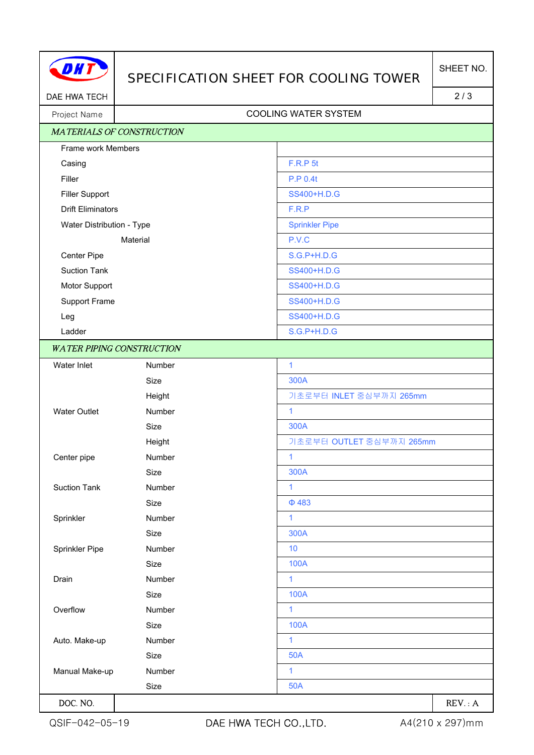

## SPECIFICATION SHEET FOR COOLING TOWER

DAE HWA TECH 2/3

## Project Name | Name | Name | Name | Name | Name | Name | Name | Name | Name | Name | Name | Name | Name | Name | Name | Name | Name | Name | Name | Name | Name | Name | Name | Name | Name | Name | Name | Name | Name | Name

| <b>MATERIALS OF CONSTRUCTION</b> |        |                          |
|----------------------------------|--------|--------------------------|
| Frame work Members               |        |                          |
| Casing                           |        | <b>F.R.P 5t</b>          |
| Filler                           |        | <b>P.P 0.4t</b>          |
| <b>Filler Support</b>            |        | SS400+H.D.G              |
| <b>Drift Eliminators</b>         |        | F.R.P                    |
| Water Distribution - Type        |        | <b>Sprinkler Pipe</b>    |
| Material                         |        | P.V.C                    |
| Center Pipe                      |        | <b>S.G.P+H.D.G</b>       |
| <b>Suction Tank</b>              |        | SS400+H.D.G              |
| Motor Support                    |        | SS400+H.D.G              |
| Support Frame                    |        | SS400+H.D.G              |
| Leg                              |        | SS400+H.D.G              |
| Ladder                           |        | S.G.P+H.D.G              |
| <b>WATER PIPING CONSTRUCTION</b> |        |                          |
| Water Inlet                      | Number | $\mathbf{1}$             |
|                                  | Size   | 300A                     |
|                                  | Height | 기초로부터 INLET 중심부까지 265mm  |
| <b>Water Outlet</b>              | Number | $\mathbf{1}$             |
|                                  | Size   | 300A                     |
|                                  | Height | 기초로부터 OUTLET 중심부까지 265mm |
| Center pipe                      | Number | 1                        |
|                                  | Size   | 300A                     |
| <b>Suction Tank</b>              | Number | $\mathbf{1}$             |
|                                  | Size   | $\Phi$ 483               |
| Sprinkler                        | Number | $\mathbf{1}$             |
|                                  | Size   | 300A                     |
| Sprinkler Pipe                   | Number | 10                       |
|                                  | Size   | <b>100A</b>              |
| Drain                            | Number | 1                        |
|                                  | Size   | <b>100A</b>              |
| Overflow                         | Number | $\mathbf{1}$             |
|                                  | Size   | <b>100A</b>              |
| Auto. Make-up                    | Number | 1                        |
|                                  | Size   | <b>50A</b>               |
| Manual Make-up                   | Number | 1                        |
|                                  | Size   | <b>50A</b>               |
| DOC. NO.                         |        | REV: A                   |

QSIF-042-05-19 DAE HWA TECH CO., LTD. 44(210 x 297)mm